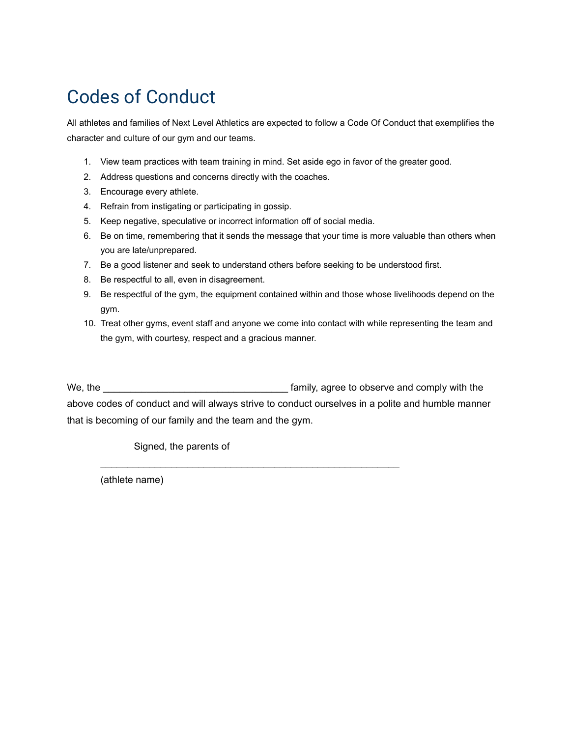### Codes of Conduct

All athletes and families of Next Level Athletics are expected to follow a Code Of Conduct that exemplifies the character and culture of our gym and our teams.

- 1. View team practices with team training in mind. Set aside ego in favor of the greater good.
- 2. Address questions and concerns directly with the coaches.
- 3. Encourage every athlete.
- 4. Refrain from instigating or participating in gossip.
- 5. Keep negative, speculative or incorrect information off of social media.
- 6. Be on time, remembering that it sends the message that your time is more valuable than others when you are late/unprepared.
- 7. Be a good listener and seek to understand others before seeking to be understood first.
- 8. Be respectful to all, even in disagreement.
- 9. Be respectful of the gym, the equipment contained within and those whose livelihoods depend on the gym.
- 10. Treat other gyms, event staff and anyone we come into contact with while representing the team and the gym, with courtesy, respect and a gracious manner.

We, the \_\_\_\_\_\_\_\_\_\_\_\_\_\_\_\_\_\_\_\_\_\_\_\_\_\_\_\_\_\_\_\_\_\_ family, agree to observe and comply with the above codes of conduct and will always strive to conduct ourselves in a polite and humble manner that is becoming of our family and the team and the gym.

\_\_\_\_\_\_\_\_\_\_\_\_\_\_\_\_\_\_\_\_\_\_\_\_\_\_\_\_\_\_\_\_\_\_\_\_\_\_\_\_\_\_\_\_\_\_\_\_\_\_\_\_\_\_\_

Signed, the parents of

(athlete name)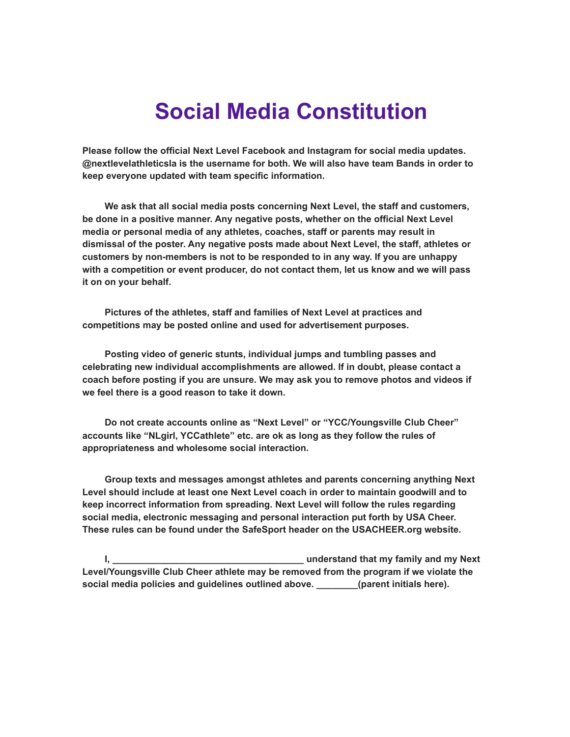# **Social Media Constitution**

**Please follow the official Next Level Facebook and Instagram for social media updates. @nextlevelathleticsla is the username for both. We will also have team Bands in order to keep everyone updated with team specific information.**

**We ask that all social media posts concerning Next Level, the staff and customers, be done in a positive manner. Any negative posts, whether on the official Next Level media or personal media of any athletes, coaches, staff or parents may result in dismissal of the poster. Any negative posts made about Next Level, the staff, athletes or customers by non-members is not to be responded to in any way. If you are unhappy with a competition or event producer, do not contact them, let us know and we will pass it on on your behalf.**

**Pictures of the athletes, staff and families of Next Level at practices and competitions may be posted online and used for advertisement purposes.**

**Posting video of generic stunts, individual jumps and tumbling passes and celebrating new individual accomplishments are allowed. If in doubt, please contact a coach before posting if you are unsure. We may ask you to remove photos and videos if we feel there is a good reason to take it down.**

**Do not create accounts online as "Next Level" or "YCC/Youngsville Club Cheer" accounts like "NLgirl, YCCathlete" etc. are ok as long as they follow the rules of appropriateness and wholesome social interaction.**

**Group texts and messages amongst athletes and parents concerning anything Next Level should include at least one Next Level coach in order to maintain goodwill and to keep incorrect information from spreading. Next Level will follow the rules regarding social media, electronic messaging and personal interaction put forth by USA Cheer. These rules can be found under the SafeSport header on the USACHEER.org website.**

**I, \_\_\_\_\_\_\_\_\_\_\_\_\_\_\_\_\_\_\_\_\_\_\_\_\_\_\_\_\_\_\_\_\_\_\_\_\_ understand that my family and my Next Level/Youngsville Club Cheer athlete may be removed from the program if we violate the social media policies and guidelines outlined above. \_\_\_\_\_\_\_\_(parent initials here).**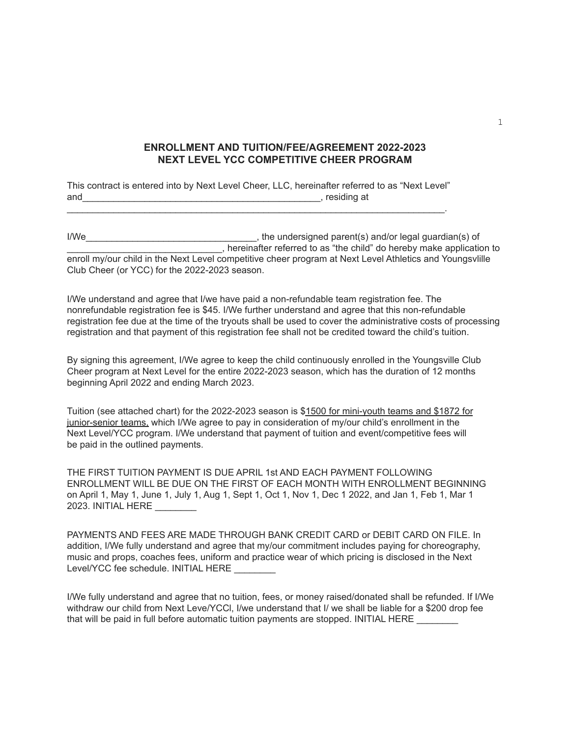#### **ENROLLMENT AND TUITION/FEE/AGREEMENT 2022-2023 NEXT LEVEL YCC COMPETITIVE CHEER PROGRAM**

This contract is entered into by Next Level Cheer, LLC, hereinafter referred to as "Next Level" and example and and the set of the set of the set of the set of the set of the set of the set of the set of the set of the set of the set of the set of the set of the set of the set of the set of the set of the set of the  $\mathcal{L}_\text{max}$  , and the contribution of the contribution of the contribution of the contribution of the contribution of the contribution of the contribution of the contribution of the contribution of the contribution of t

I/We\_\_\_\_\_\_\_\_\_\_\_\_\_\_\_\_\_\_\_\_\_\_\_\_\_\_\_\_\_\_\_\_\_, the undersigned parent(s) and/or legal guardian(s) of \_\_\_\_\_\_\_\_\_\_\_\_\_\_\_\_\_\_\_\_\_\_\_\_\_\_\_\_\_\_, hereinafter referred to as "the child" do hereby make application to enroll my/our child in the Next Level competitive cheer program at Next Level Athletics and Youngsvlille Club Cheer (or YCC) for the 2022-2023 season.

I/We understand and agree that I/we have paid a non-refundable team registration fee. The nonrefundable registration fee is \$45. I/We further understand and agree that this non-refundable registration fee due at the time of the tryouts shall be used to cover the administrative costs of processing registration and that payment of this registration fee shall not be credited toward the child's tuition.

By signing this agreement, I/We agree to keep the child continuously enrolled in the Youngsville Club Cheer program at Next Level for the entire 2022-2023 season, which has the duration of 12 months beginning April 2022 and ending March 2023.

Tuition (see attached chart) for the 2022-2023 season is \$1500 for mini-youth teams and \$1872 for junior-senior teams, which I/We agree to pay in consideration of my/our child's enrollment in the Next Level/YCC program. I/We understand that payment of tuition and event/competitive fees will be paid in the outlined payments.

THE FIRST TUITION PAYMENT IS DUE APRIL 1st AND EACH PAYMENT FOLLOWING ENROLLMENT WILL BE DUE ON THE FIRST OF EACH MONTH WITH ENROLLMENT BEGINNING on April 1, May 1, June 1, July 1, Aug 1, Sept 1, Oct 1, Nov 1, Dec 1 2022, and Jan 1, Feb 1, Mar 1 2023. INITIAL HERE \_\_\_\_\_\_\_\_

| PAYMENTS AND FEES ARE MADE THROUGH BANK CREDIT CARD or DEBIT CARD ON FILE. In                      |
|----------------------------------------------------------------------------------------------------|
| addition, I/We fully understand and agree that my/our commitment includes paying for choreography, |
| music and props, coaches fees, uniform and practice wear of which pricing is disclosed in the Next |
| Level/YCC fee schedule. INITIAL HERE                                                               |

I/We fully understand and agree that no tuition, fees, or money raised/donated shall be refunded. If I/We withdraw our child from Next Leve/YCCl, I/we understand that I/ we shall be liable for a \$200 drop fee that will be paid in full before automatic tuition payments are stopped. INITIAL HERE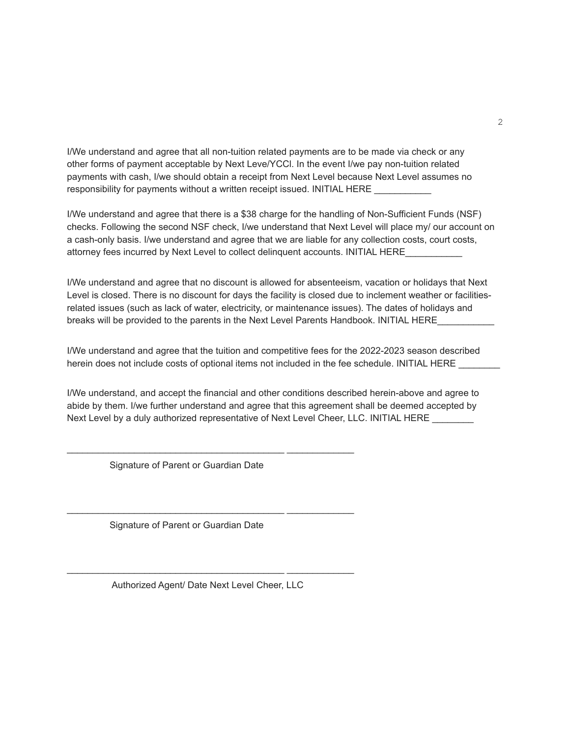I/We understand and agree that all non-tuition related payments are to be made via check or any other forms of payment acceptable by Next Leve/YCCl. In the event I/we pay non-tuition related payments with cash, I/we should obtain a receipt from Next Level because Next Level assumes no responsibility for payments without a written receipt issued. INITIAL HERE

I/We understand and agree that there is a \$38 charge for the handling of Non-Sufficient Funds (NSF) checks. Following the second NSF check, I/we understand that Next Level will place my/ our account on a cash-only basis. I/we understand and agree that we are liable for any collection costs, court costs, attorney fees incurred by Next Level to collect delinguent accounts. INITIAL HERE

I/We understand and agree that no discount is allowed for absenteeism, vacation or holidays that Next Level is closed. There is no discount for days the facility is closed due to inclement weather or facilitiesrelated issues (such as lack of water, electricity, or maintenance issues). The dates of holidays and breaks will be provided to the parents in the Next Level Parents Handbook. INITIAL HERE

I/We understand and agree that the tuition and competitive fees for the 2022-2023 season described herein does not include costs of optional items not included in the fee schedule. INITIAL HERE

I/We understand, and accept the financial and other conditions described herein-above and agree to abide by them. I/we further understand and agree that this agreement shall be deemed accepted by Next Level by a duly authorized representative of Next Level Cheer, LLC. INITIAL HERE \_\_\_\_\_\_\_\_

Signature of Parent or Guardian Date

\_\_\_\_\_\_\_\_\_\_\_\_\_\_\_\_\_\_\_\_\_\_\_\_\_\_\_\_\_\_\_\_\_\_\_\_\_\_\_\_\_\_ \_\_\_\_\_\_\_\_\_\_\_\_\_

\_\_\_\_\_\_\_\_\_\_\_\_\_\_\_\_\_\_\_\_\_\_\_\_\_\_\_\_\_\_\_\_\_\_\_\_\_\_\_\_\_\_ \_\_\_\_\_\_\_\_\_\_\_\_\_

Signature of Parent or Guardian Date

Authorized Agent/ Date Next Level Cheer, LLC

\_\_\_\_\_\_\_\_\_\_\_\_\_\_\_\_\_\_\_\_\_\_\_\_\_\_\_\_\_\_\_\_\_\_\_\_\_\_\_\_\_\_ \_\_\_\_\_\_\_\_\_\_\_\_\_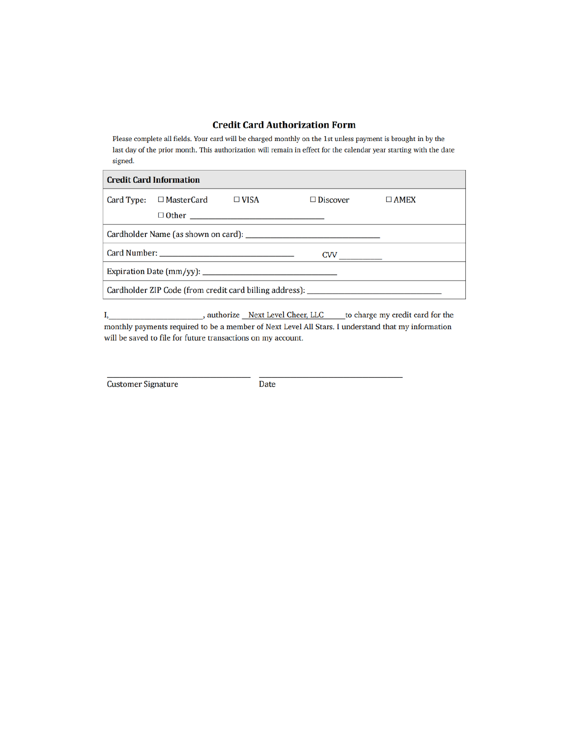#### **Credit Card Authorization Form**

Please complete all fields. Your card will be charged monthly on the 1st unless payment is brought in by the last day of the prior month. This authorization will remain in effect for the calendar year starting with the date signed.

| <b>Credit Card Information</b> |                              |              |                                                                                  |             |  |  |  |
|--------------------------------|------------------------------|--------------|----------------------------------------------------------------------------------|-------------|--|--|--|
|                                | Card Type: $\Box$ MasterCard | $\Box$ VISA  | $\Box$ Discover                                                                  | $\Box$ AMEX |  |  |  |
|                                |                              | $\Box$ Other |                                                                                  |             |  |  |  |
|                                |                              |              |                                                                                  |             |  |  |  |
|                                |                              |              |                                                                                  |             |  |  |  |
|                                |                              |              |                                                                                  |             |  |  |  |
|                                |                              |              | Cardholder ZIP Code (from credit card billing address): ________________________ |             |  |  |  |

\_\_\_, authorize \_Next Level Cheer, LLC \_\_\_\_\_ to charge my credit card for the  $I,$ monthly payments required to be a member of Next Level All Stars. I understand that my information will be saved to file for future transactions on my account.

**Customer Signature** 

Date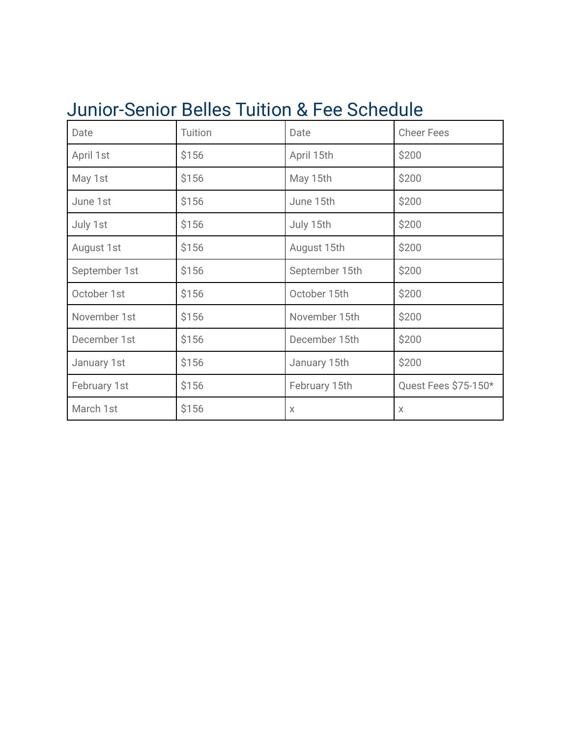## Junior-Senior Belles Tuition & Fee Schedule

| Date          | Tuition | Date           | <b>Cheer Fees</b>    |
|---------------|---------|----------------|----------------------|
| April 1st     | \$156   | April 15th     | \$200                |
| May 1st       | \$156   | May 15th       | \$200                |
| June 1st      | \$156   | June 15th      | \$200                |
| July 1st      | \$156   | July 15th      | \$200                |
| August 1st    | \$156   | August 15th    | \$200                |
| September 1st | \$156   | September 15th | \$200                |
| October 1st   | \$156   | October 15th   | \$200                |
| November 1st  | \$156   | November 15th  | \$200                |
| December 1st  | \$156   | December 15th  | \$200                |
| January 1st   | \$156   | January 15th   | \$200                |
| February 1st  | \$156   | February 15th  | Quest Fees \$75-150* |
| March 1st     | \$156   | $\times$       | X                    |